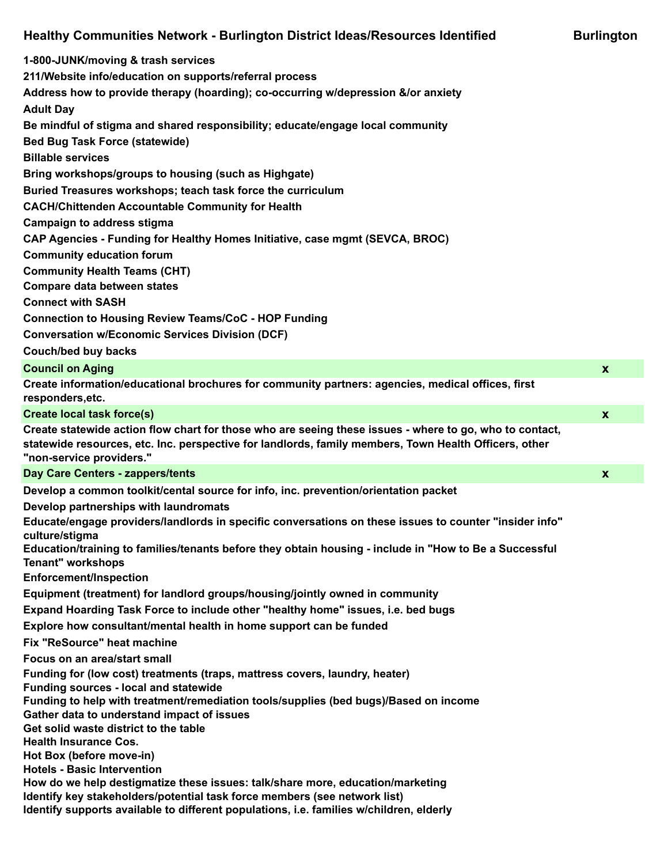## **Healthy Communities Network - Burlington District Ideas/Resources Identified Burlington**

| Healthy Communities Network - Burlington District Ideas/Resources Identified                                                                                                                                                                 | <b>Burlington</b> |
|----------------------------------------------------------------------------------------------------------------------------------------------------------------------------------------------------------------------------------------------|-------------------|
| 1-800-JUNK/moving & trash services                                                                                                                                                                                                           |                   |
| 211/Website info/education on supports/referral process                                                                                                                                                                                      |                   |
| Address how to provide therapy (hoarding); co-occurring w/depression &/or anxiety<br><b>Adult Day</b>                                                                                                                                        |                   |
| Be mindful of stigma and shared responsibility; educate/engage local community                                                                                                                                                               |                   |
| <b>Bed Bug Task Force (statewide)</b>                                                                                                                                                                                                        |                   |
| <b>Billable services</b>                                                                                                                                                                                                                     |                   |
| Bring workshops/groups to housing (such as Highgate)                                                                                                                                                                                         |                   |
| Buried Treasures workshops; teach task force the curriculum                                                                                                                                                                                  |                   |
| <b>CACH/Chittenden Accountable Community for Health</b>                                                                                                                                                                                      |                   |
| <b>Campaign to address stigma</b>                                                                                                                                                                                                            |                   |
| CAP Agencies - Funding for Healthy Homes Initiative, case mgmt (SEVCA, BROC)                                                                                                                                                                 |                   |
| <b>Community education forum</b>                                                                                                                                                                                                             |                   |
| <b>Community Health Teams (CHT)</b>                                                                                                                                                                                                          |                   |
| <b>Compare data between states</b>                                                                                                                                                                                                           |                   |
| <b>Connect with SASH</b>                                                                                                                                                                                                                     |                   |
| <b>Connection to Housing Review Teams/CoC - HOP Funding</b>                                                                                                                                                                                  |                   |
| <b>Conversation w/Economic Services Division (DCF)</b>                                                                                                                                                                                       |                   |
| Couch/bed buy backs                                                                                                                                                                                                                          |                   |
| <b>Council on Aging</b>                                                                                                                                                                                                                      | $\boldsymbol{x}$  |
| Create information/educational brochures for community partners: agencies, medical offices, first<br>responders, etc.                                                                                                                        |                   |
| <b>Create local task force(s)</b>                                                                                                                                                                                                            | $\boldsymbol{x}$  |
| Create statewide action flow chart for those who are seeing these issues - where to go, who to contact,<br>statewide resources, etc. Inc. perspective for landlords, family members, Town Health Officers, other<br>"non-service providers." |                   |
| Day Care Centers - zappers/tents                                                                                                                                                                                                             | $\boldsymbol{x}$  |
| Develop a common toolkit/cental source for info, inc. prevention/orientation packet                                                                                                                                                          |                   |
| Develop partnerships with laundromats                                                                                                                                                                                                        |                   |
| Educate/engage providers/landlords in specific conversations on these issues to counter "insider info"<br>culture/stigma                                                                                                                     |                   |
| Education/training to families/tenants before they obtain housing - include in "How to Be a Successful<br><b>Tenant" workshops</b>                                                                                                           |                   |
| <b>Enforcement/Inspection</b>                                                                                                                                                                                                                |                   |
| Equipment (treatment) for landlord groups/housing/jointly owned in community                                                                                                                                                                 |                   |
| Expand Hoarding Task Force to include other "healthy home" issues, i.e. bed bugs                                                                                                                                                             |                   |
| Explore how consultant/mental health in home support can be funded                                                                                                                                                                           |                   |
| Fix "ReSource" heat machine                                                                                                                                                                                                                  |                   |
| Focus on an area/start small                                                                                                                                                                                                                 |                   |

**Funding for (low cost) treatments (traps, mattress covers, laundry, heater)**

**Funding sources - local and statewide**

**Funding to help with treatment/remediation tools/supplies (bed bugs)/Based on income**

**Gather data to understand impact of issues**

**Get solid waste district to the table**

**Health Insurance Cos.**

**Hot Box (before move-in)**

**Hotels - Basic Intervention**

**How do we help destigmatize these issues: talk/share more, education/marketing**

- **Identify key stakeholders/potential task force members (see network list)**
- **Identify supports available to different populations, i.e. families w/children, elderly**